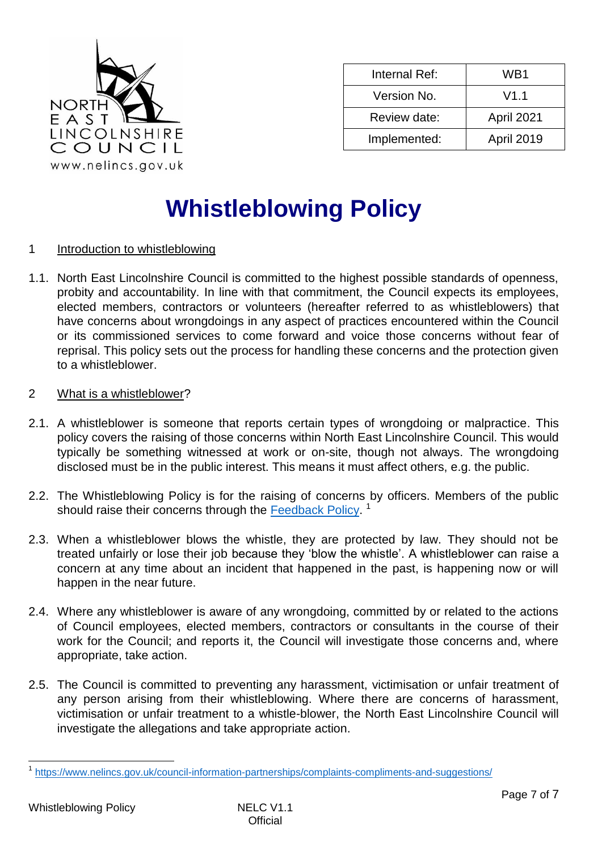

| Internal Ref: | WB1        |
|---------------|------------|
| Version No.   | V1.1       |
| Review date:  | April 2021 |
| Implemented:  | April 2019 |

# **Whistleblowing Policy**

## 1 Introduction to whistleblowing

- 1.1. North East Lincolnshire Council is committed to the highest possible standards of openness, probity and accountability. In line with that commitment, the Council expects its employees, elected members, contractors or volunteers (hereafter referred to as whistleblowers) that have concerns about wrongdoings in any aspect of practices encountered within the Council or its commissioned services to come forward and voice those concerns without fear of reprisal. This policy sets out the process for handling these concerns and the protection given to a whistleblower.
- 2 What is a whistleblower?
- 2.1. A whistleblower is someone that reports certain types of wrongdoing or malpractice. This policy covers the raising of those concerns within North East Lincolnshire Council. This would typically be something witnessed at work or on-site, though not always. The wrongdoing disclosed must be in the public interest. This means it must affect others, e.g. the public.
- 2.2. The Whistleblowing Policy is for the raising of concerns by officers. Members of the public should raise their concerns through the [Feedback Policy.](https://www.nelincs.gov.uk/council-information-partnerships/complaints-compliments-and-suggestions/)<sup>1</sup>
- 2.3. When a whistleblower blows the whistle, they are protected by law. They should not be treated unfairly or lose their job [because they 'blow the whist](https://www.gov.uk/whistleblowing/treated-unfairly-after-whistleblowing)le'. A whistleblower can raise a concern at any time about an incident that happened in the past, is happening now or will happen in the near future.
- 2.4. Where any whistleblower is aware of any wrongdoing, committed by or related to the actions of Council employees, elected members, contractors or consultants in the course of their work for the Council; and reports it, the Council will investigate those concerns and, where appropriate, take action.
- 2.5. The Council is committed to preventing any harassment, victimisation or unfair treatment of any person arising from their whistleblowing. Where there are concerns of harassment, victimisation or unfair treatment to a whistle-blower, the North East Lincolnshire Council will investigate the allegations and take appropriate action.

l

<sup>1</sup> <https://www.nelincs.gov.uk/council-information-partnerships/complaints-compliments-and-suggestions/>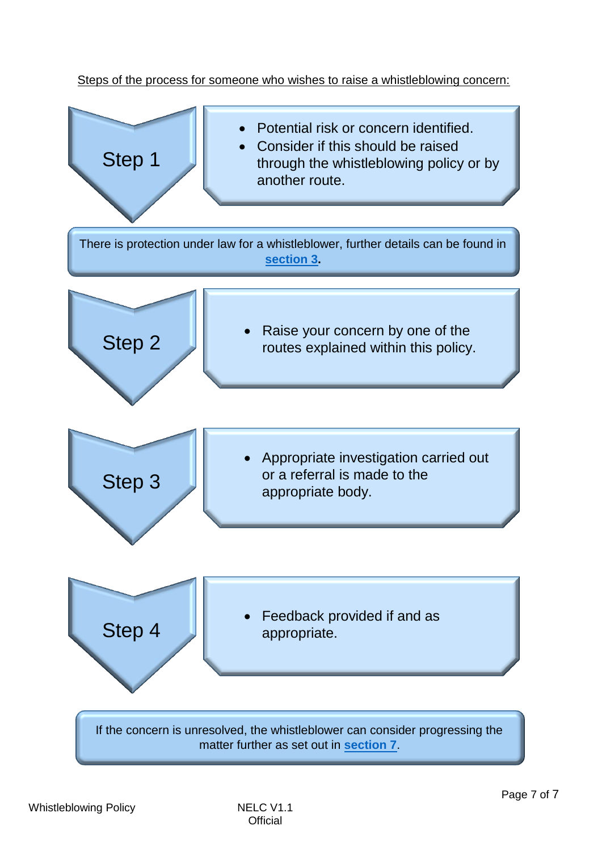# Steps of the process for someone who wishes to raise a whistleblowing concern:

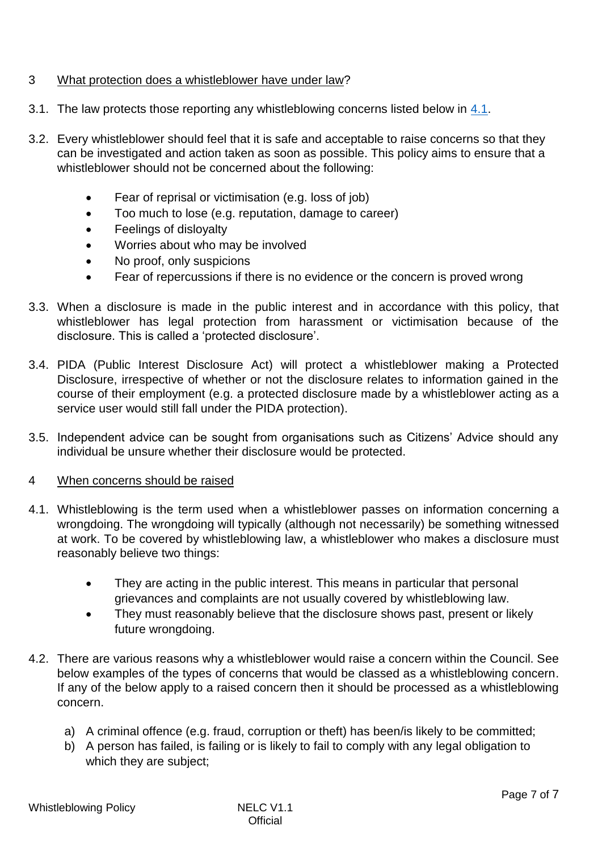# <span id="page-2-0"></span>3 What protection does a whistleblower have under law?

- 3.1. The law protects those reporting any whistleblowing concerns listed below in 4.1.
- 3.2. Every whistleblower should feel that it is safe and acceptable to raise concerns so that they can be investigated and action taken as soon as possible. This policy aims to ensure that a whistleblower should not be concerned about the following:
	- Fear of reprisal or victimisation (e.g. loss of job)
	- Too much to lose (e.g. reputation, damage to career)
	- Feelings of disloyalty
	- Worries about who may be involved
	- No proof, only suspicions
	- Fear of repercussions if there is no evidence or the concern is proved wrong
- 3.3. When a disclosure is made in the public interest and in accordance with this policy, that whistleblower has legal protection from harassment or victimisation because of the disclosure. This is called a 'protected disclosure'.
- 3.4. PIDA (Public Interest Disclosure Act) will protect a whistleblower making a Protected Disclosure, irrespective of whether or not the disclosure relates to information gained in the course of their employment (e.g. a protected disclosure made by a whistleblower acting as a service user would still fall under the PIDA protection).
- 3.5. Independent advice can be sought from organisations such as Citizens' Advice should any individual be unsure whether their disclosure would be protected.
- 4 When concerns should be raised
- 4.1. Whistleblowing is the term used when a whistleblower passes on information concerning a wrongdoing. The wrongdoing will typically (although not necessarily) be something witnessed at work. To be covered by whistleblowing law, a whistleblower who makes a disclosure must reasonably believe two things:
	- They are acting in the public interest. This means in particular that personal grievances and complaints are not usually covered by whistleblowing law.
	- They must reasonably believe that the disclosure shows past, present or likely future wrongdoing.
- 4.2. There are various reasons why a whistleblower would raise a concern within the Council. See below examples of the types of concerns that would be classed as a whistleblowing concern. If any of the below apply to a raised concern then it should be processed as a whistleblowing concern.
	- a) A criminal offence (e.g. fraud, corruption or theft) has been/is likely to be committed;
	- b) A person has failed, is failing or is likely to fail to comply with any legal obligation to which they are subject;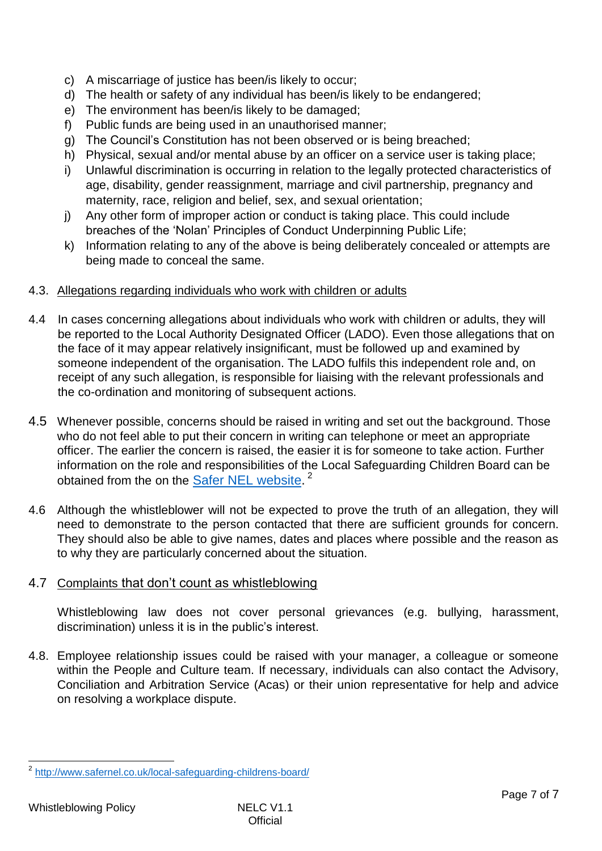- c) A miscarriage of justice has been/is likely to occur;
- d) The health or safety of any individual has been/is likely to be endangered;
- e) The environment has been/is likely to be damaged;
- f) Public funds are being used in an unauthorised manner;
- g) The Council's Constitution has not been observed or is being breached;
- h) Physical, sexual and/or mental abuse by an officer on a service user is taking place;
- i) Unlawful discrimination is occurring in relation to the legally protected characteristics of age, disability, gender reassignment, marriage and civil partnership, pregnancy and maternity, race, religion and belief, sex, and sexual orientation;
- j) Any other form of improper action or conduct is taking place. This could include breaches of the 'Nolan' Principles of Conduct Underpinning Public Life;
- k) Information relating to any of the above is being deliberately concealed or attempts are being made to conceal the same.

#### 4.3. Allegations regarding individuals who work with children or adults

- 4.4 In cases concerning allegations about individuals who work with children or adults, they will be reported to the Local Authority Designated Officer (LADO). Even those allegations that on the face of it may appear relatively insignificant, must be followed up and examined by someone independent of the organisation. The LADO fulfils this independent role and, on receipt of any such allegation, is responsible for liaising with the relevant professionals and the co-ordination and monitoring of subsequent actions.
- 4.5 Whenever possible, concerns should be raised in writing and set out the background. Those who do not feel able to put their concern in writing can telephone or meet an appropriate officer. The earlier the concern is raised, the easier it is for someone to take action. Further information on the role and responsibilities of the Local Safeguarding Children Board can be obtained from the [on](https://www.nelincs.gov.uk/) the **Safer [NEL](http://www.safernel.co.uk/local-safeguarding-childrens-board/) website.**<sup>2</sup>
- 4.6 Although the whistleblower will not be expected to prove the truth of an allegation, they will need to demonstrate to the person contacted that there are sufficient grounds for concern. They should also be able to give names, dates and places where possible and the reason as to why they are particularly concerned about the situation.

## 4.7 Complaints that don't count as whistleblowing

Whistleblowing law does not cover personal grievances (e.g. bullying, harassment, discrimination) unless it is in the public's interest.

4.8. Employee relationship issues could be raised with your manager, a colleague or someone within the People and Culture team. If necessary, individuals can also contact the [Advisory,](https://www.gov.uk/acas)  [Conciliation and Arbitration Service \(Acas\)](https://www.gov.uk/acas) or their union representativ[e](https://www.gov.uk/acas) for help and advice on resolving a workplace dispute.

 2 <http://www.safernel.co.uk/local-safeguarding-childrens-board/>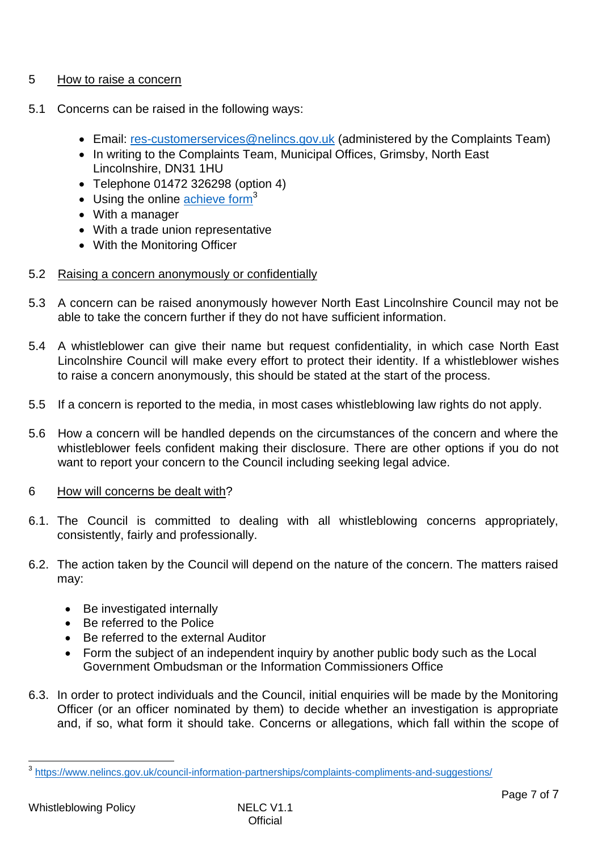## 5 How to raise a concern

- 5.1 Concerns can be raised in the following ways:
	- Email: [res-customerservices@nelincs.gov.uk](mailto:res-customerservices@nelincs.gov.uk) (administered by the Complaints Team)
	- In writing to the Complaints Team, Municipal Offices, Grimsby, North East Lincolnshire, DN31 1HU
	- Telephone 01472 326298 (option 4)
	- $\bullet$  Using the online [achieve form](https://nelincolnshire-self.achieveservice.com/en/AchieveForms/?form_uri=sandbox-publish://AF-Process-90a0df07-110e-4d42-984c-d3baa9614cf2/AF-Stage-3129c5b6-576b-410b-aba4-4a5c0bbdfb35/definition.json&redirectlink=%2F&cancelRedirectLink=%2F&category=AF-Category-eae3721d-0fd2-4e48-8551-f515ae1b863d)<sup>3</sup>
	- With a manager
	- With a trade union representative
	- With the Monitoring Officer
- 5.2 Raising a concern anonymously or confidentially
- 5.3 A concern can be raised anonymously however North East Lincolnshire Council may not be able to take the concern further if they do not have sufficient information.
- 5.4 A whistleblower can give their name but request confidentiality, in which case North East Lincolnshire Council will make every effort to protect their identity. If a whistleblower wishes to raise a concern anonymously, this should be stated at the start of the process.
- 5.5 If a concern is reported to the media, in most cases whistleblowing law rights do not apply.
- 5.6 How a concern will be handled depends on the circumstances of the concern and where the whistleblower feels confident making their disclosure. [There are other options if you do not](https://www.gov.uk/find-a-legal-adviser)  [want to report your concern to the Council](https://www.gov.uk/find-a-legal-adviser) including seeking legal advice.
- 6 How will concerns be dealt with?
- 6.1. The Council is committed to dealing with all whistleblowing concerns appropriately, consistently, fairly and professionally.
- 6.2. The action taken by the Council will depend on the nature of the concern. The matters raised may:
	- Be investigated internally
	- Be referred to the Police
	- Be referred to the external Auditor
	- Form the subject of an independent inquiry by another public body such as the Local Government Ombudsman or the Information Commissioners Office
- 6.3. In order to protect individuals and the Council, initial enquiries will be made by the Monitoring Officer (or an officer nominated by them) to decide whether an investigation is appropriate and, if so, what form it should take. Concerns or allegations, which fall within the scope of

 3 <https://www.nelincs.gov.uk/council-information-partnerships/complaints-compliments-and-suggestions/>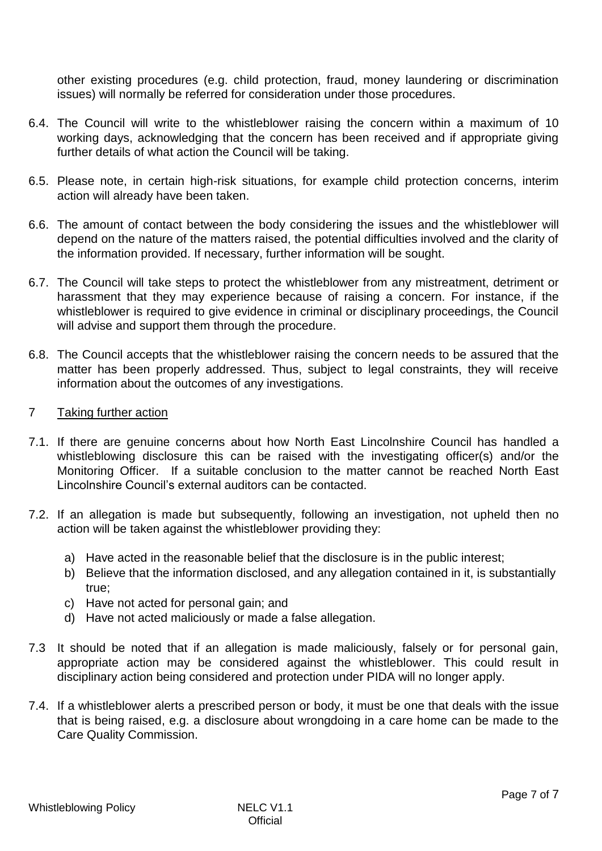other existing procedures (e.g. child protection, fraud, money laundering or discrimination issues) will normally be referred for consideration under those procedures.

- 6.4. The Council will write to the whistleblower raising the concern within a maximum of 10 working days, acknowledging that the concern has been received and if appropriate giving further details of what action the Council will be taking.
- 6.5. Please note, in certain high-risk situations, for example child protection concerns, interim action will already have been taken.
- 6.6. The amount of contact between the body considering the issues and the whistleblower will depend on the nature of the matters raised, the potential difficulties involved and the clarity of the information provided. If necessary, further information will be sought.
- 6.7. The Council will take steps to protect the whistleblower from any mistreatment, detriment or harassment that they may experience because of raising a concern. For instance, if the whistleblower is required to give evidence in criminal or disciplinary proceedings, the Council will advise and support them through the procedure.
- 6.8. The Council accepts that the whistleblower raising the concern needs to be assured that the matter has been properly addressed. Thus, subject to legal constraints, they will receive information about the outcomes of any investigations.
- <span id="page-5-0"></span>7 Taking further action
- 7.1. If there are genuine concerns about how North East Lincolnshire Council has handled a whistleblowing disclosure this can be raised with the investigating officer(s) and/or the Monitoring Officer. If a suitable conclusion to the matter cannot be reached North East Lincolnshire Council's external auditors can be contacted.
- 7.2. If an allegation is made but subsequently, following an investigation, not upheld then no action will be taken against the whistleblower providing they:
	- a) Have acted in the reasonable belief that the disclosure is in the public interest;
	- b) Believe that the information disclosed, and any allegation contained in it, is substantially true;
	- c) Have not acted for personal gain; and
	- d) Have not acted maliciously or made a false allegation.
- 7.3 It should be noted that if an allegation is made maliciously, falsely or for personal gain, appropriate action may be considered against the whistleblower. This could result in disciplinary action being considered and protection under PIDA will no longer apply.
- 7.4. If a whistleblower alerts a prescribed person or body, it must be one that deals with the issue that is being raised, e.g. a disclosure about wrongdoing in a care home can be made to the Care Quality Commission.